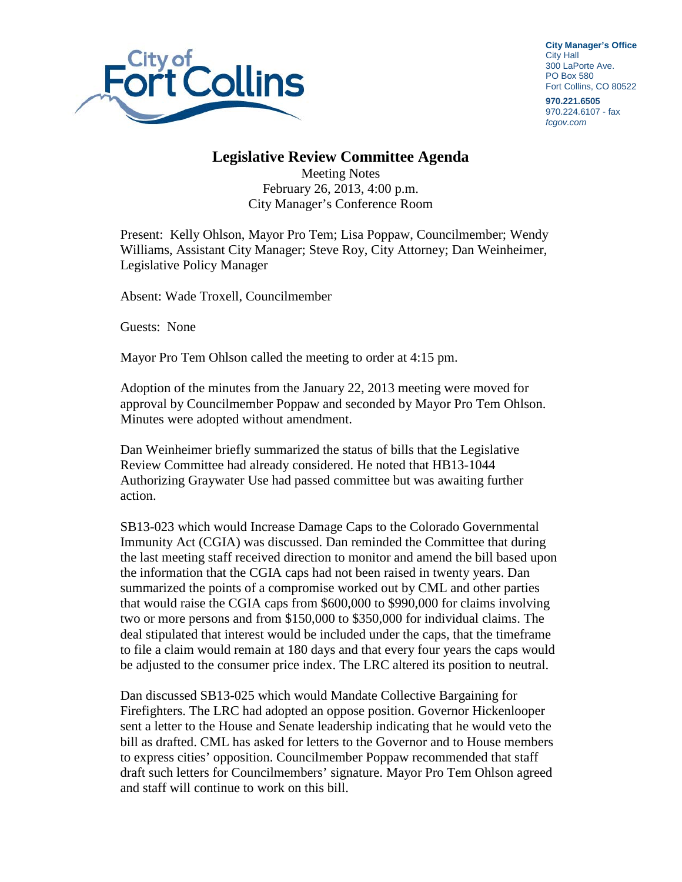

**City Manager's Office** City Hall 300 LaPorte Ave. PO Box 580 Fort Collins, CO 80522

**970.221.6505** 970.224.6107 - fax *fcgov.com*

## **Legislative Review Committee Agenda**

Meeting Notes February 26, 2013, 4:00 p.m. City Manager's Conference Room

Present: Kelly Ohlson, Mayor Pro Tem; Lisa Poppaw, Councilmember; Wendy Williams, Assistant City Manager; Steve Roy, City Attorney; Dan Weinheimer, Legislative Policy Manager

Absent: Wade Troxell, Councilmember

Guests: None

Mayor Pro Tem Ohlson called the meeting to order at 4:15 pm.

Adoption of the minutes from the January 22, 2013 meeting were moved for approval by Councilmember Poppaw and seconded by Mayor Pro Tem Ohlson. Minutes were adopted without amendment.

Dan Weinheimer briefly summarized the status of bills that the Legislative Review Committee had already considered. He noted that HB13-1044 Authorizing Graywater Use had passed committee but was awaiting further action.

SB13-023 which would Increase Damage Caps to the Colorado Governmental Immunity Act (CGIA) was discussed. Dan reminded the Committee that during the last meeting staff received direction to monitor and amend the bill based upon the information that the CGIA caps had not been raised in twenty years. Dan summarized the points of a compromise worked out by CML and other parties that would raise the CGIA caps from \$600,000 to \$990,000 for claims involving two or more persons and from \$150,000 to \$350,000 for individual claims. The deal stipulated that interest would be included under the caps, that the timeframe to file a claim would remain at 180 days and that every four years the caps would be adjusted to the consumer price index. The LRC altered its position to neutral.

Dan discussed SB13-025 which would Mandate Collective Bargaining for Firefighters. The LRC had adopted an oppose position. Governor Hickenlooper sent a letter to the House and Senate leadership indicating that he would veto the bill as drafted. CML has asked for letters to the Governor and to House members to express cities' opposition. Councilmember Poppaw recommended that staff draft such letters for Councilmembers' signature. Mayor Pro Tem Ohlson agreed and staff will continue to work on this bill.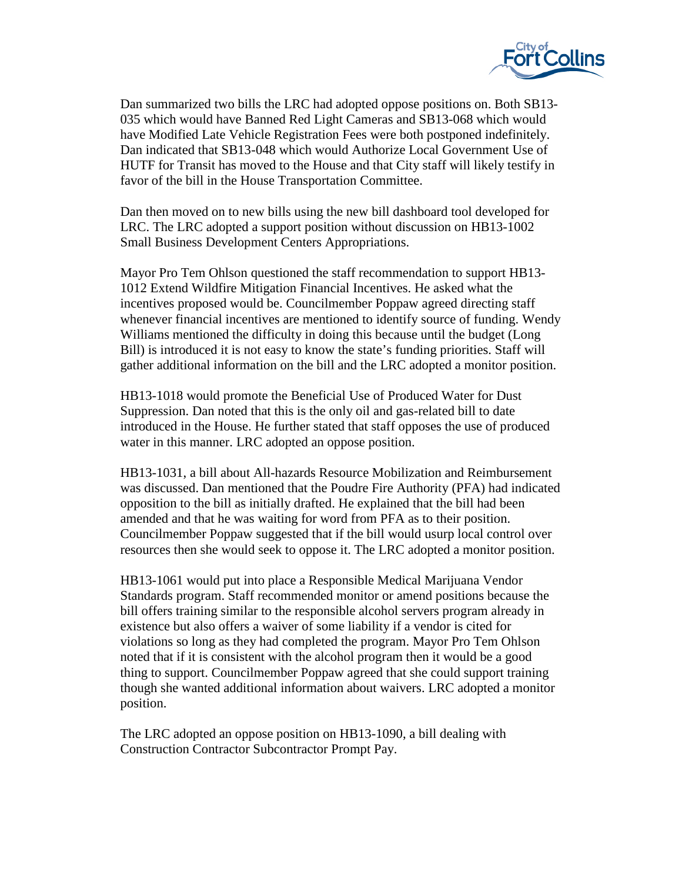

Dan summarized two bills the LRC had adopted oppose positions on. Both SB13- 035 which would have Banned Red Light Cameras and SB13-068 which would have Modified Late Vehicle Registration Fees were both postponed indefinitely. Dan indicated that SB13-048 which would Authorize Local Government Use of HUTF for Transit has moved to the House and that City staff will likely testify in favor of the bill in the House Transportation Committee.

Dan then moved on to new bills using the new bill dashboard tool developed for LRC. The LRC adopted a support position without discussion on HB13-1002 Small Business Development Centers Appropriations.

Mayor Pro Tem Ohlson questioned the staff recommendation to support HB13- 1012 Extend Wildfire Mitigation Financial Incentives. He asked what the incentives proposed would be. Councilmember Poppaw agreed directing staff whenever financial incentives are mentioned to identify source of funding. Wendy Williams mentioned the difficulty in doing this because until the budget (Long Bill) is introduced it is not easy to know the state's funding priorities. Staff will gather additional information on the bill and the LRC adopted a monitor position.

HB13-1018 would promote the Beneficial Use of Produced Water for Dust Suppression. Dan noted that this is the only oil and gas-related bill to date introduced in the House. He further stated that staff opposes the use of produced water in this manner. LRC adopted an oppose position.

HB13-1031, a bill about All-hazards Resource Mobilization and Reimbursement was discussed. Dan mentioned that the Poudre Fire Authority (PFA) had indicated opposition to the bill as initially drafted. He explained that the bill had been amended and that he was waiting for word from PFA as to their position. Councilmember Poppaw suggested that if the bill would usurp local control over resources then she would seek to oppose it. The LRC adopted a monitor position.

HB13-1061 would put into place a Responsible Medical Marijuana Vendor Standards program. Staff recommended monitor or amend positions because the bill offers training similar to the responsible alcohol servers program already in existence but also offers a waiver of some liability if a vendor is cited for violations so long as they had completed the program. Mayor Pro Tem Ohlson noted that if it is consistent with the alcohol program then it would be a good thing to support. Councilmember Poppaw agreed that she could support training though she wanted additional information about waivers. LRC adopted a monitor position.

The LRC adopted an oppose position on HB13-1090, a bill dealing with Construction Contractor Subcontractor Prompt Pay.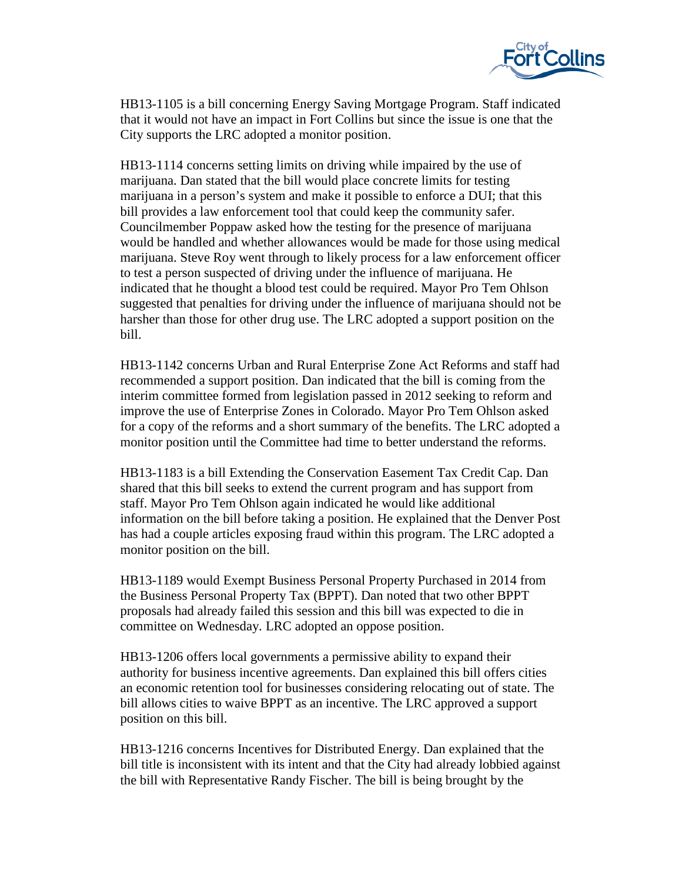

HB13-1105 is a bill concerning Energy Saving Mortgage Program. Staff indicated that it would not have an impact in Fort Collins but since the issue is one that the City supports the LRC adopted a monitor position.

HB13-1114 concerns setting limits on driving while impaired by the use of marijuana. Dan stated that the bill would place concrete limits for testing marijuana in a person's system and make it possible to enforce a DUI; that this bill provides a law enforcement tool that could keep the community safer. Councilmember Poppaw asked how the testing for the presence of marijuana would be handled and whether allowances would be made for those using medical marijuana. Steve Roy went through to likely process for a law enforcement officer to test a person suspected of driving under the influence of marijuana. He indicated that he thought a blood test could be required. Mayor Pro Tem Ohlson suggested that penalties for driving under the influence of marijuana should not be harsher than those for other drug use. The LRC adopted a support position on the bill.

HB13-1142 concerns Urban and Rural Enterprise Zone Act Reforms and staff had recommended a support position. Dan indicated that the bill is coming from the interim committee formed from legislation passed in 2012 seeking to reform and improve the use of Enterprise Zones in Colorado. Mayor Pro Tem Ohlson asked for a copy of the reforms and a short summary of the benefits. The LRC adopted a monitor position until the Committee had time to better understand the reforms.

HB13-1183 is a bill Extending the Conservation Easement Tax Credit Cap. Dan shared that this bill seeks to extend the current program and has support from staff. Mayor Pro Tem Ohlson again indicated he would like additional information on the bill before taking a position. He explained that the Denver Post has had a couple articles exposing fraud within this program. The LRC adopted a monitor position on the bill.

HB13-1189 would Exempt Business Personal Property Purchased in 2014 from the Business Personal Property Tax (BPPT). Dan noted that two other BPPT proposals had already failed this session and this bill was expected to die in committee on Wednesday. LRC adopted an oppose position.

HB13-1206 offers local governments a permissive ability to expand their authority for business incentive agreements. Dan explained this bill offers cities an economic retention tool for businesses considering relocating out of state. The bill allows cities to waive BPPT as an incentive. The LRC approved a support position on this bill.

HB13-1216 concerns Incentives for Distributed Energy. Dan explained that the bill title is inconsistent with its intent and that the City had already lobbied against the bill with Representative Randy Fischer. The bill is being brought by the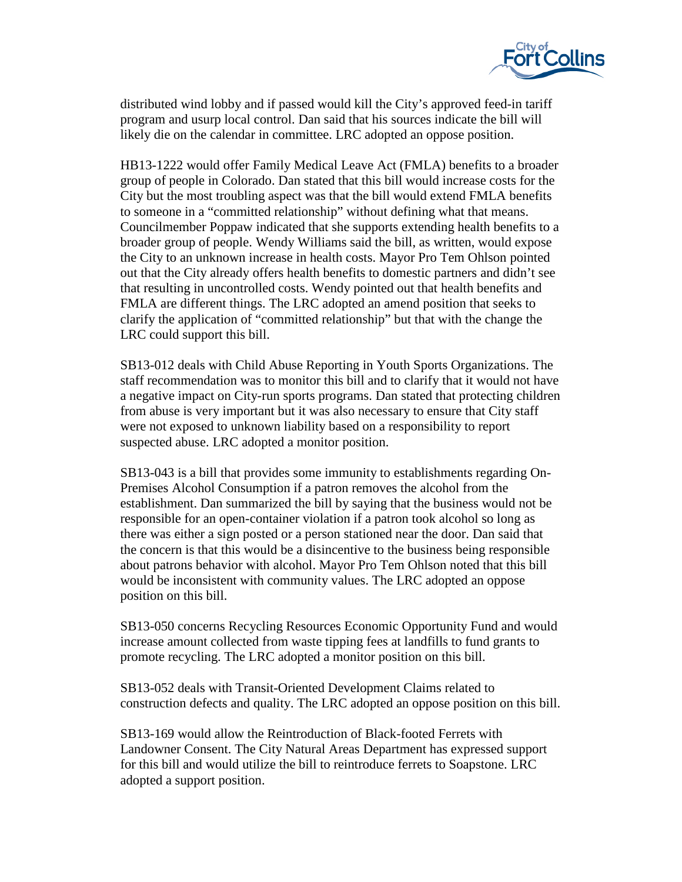

distributed wind lobby and if passed would kill the City's approved feed-in tariff program and usurp local control. Dan said that his sources indicate the bill will likely die on the calendar in committee. LRC adopted an oppose position.

HB13-1222 would offer Family Medical Leave Act (FMLA) benefits to a broader group of people in Colorado. Dan stated that this bill would increase costs for the City but the most troubling aspect was that the bill would extend FMLA benefits to someone in a "committed relationship" without defining what that means. Councilmember Poppaw indicated that she supports extending health benefits to a broader group of people. Wendy Williams said the bill, as written, would expose the City to an unknown increase in health costs. Mayor Pro Tem Ohlson pointed out that the City already offers health benefits to domestic partners and didn't see that resulting in uncontrolled costs. Wendy pointed out that health benefits and FMLA are different things. The LRC adopted an amend position that seeks to clarify the application of "committed relationship" but that with the change the LRC could support this bill.

SB13-012 deals with Child Abuse Reporting in Youth Sports Organizations. The staff recommendation was to monitor this bill and to clarify that it would not have a negative impact on City-run sports programs. Dan stated that protecting children from abuse is very important but it was also necessary to ensure that City staff were not exposed to unknown liability based on a responsibility to report suspected abuse. LRC adopted a monitor position.

SB13-043 is a bill that provides some immunity to establishments regarding On-Premises Alcohol Consumption if a patron removes the alcohol from the establishment. Dan summarized the bill by saying that the business would not be responsible for an open-container violation if a patron took alcohol so long as there was either a sign posted or a person stationed near the door. Dan said that the concern is that this would be a disincentive to the business being responsible about patrons behavior with alcohol. Mayor Pro Tem Ohlson noted that this bill would be inconsistent with community values. The LRC adopted an oppose position on this bill.

SB13-050 concerns Recycling Resources Economic Opportunity Fund and would increase amount collected from waste tipping fees at landfills to fund grants to promote recycling. The LRC adopted a monitor position on this bill.

SB13-052 deals with Transit-Oriented Development Claims related to construction defects and quality. The LRC adopted an oppose position on this bill.

SB13-169 would allow the Reintroduction of Black-footed Ferrets with Landowner Consent. The City Natural Areas Department has expressed support for this bill and would utilize the bill to reintroduce ferrets to Soapstone. LRC adopted a support position.